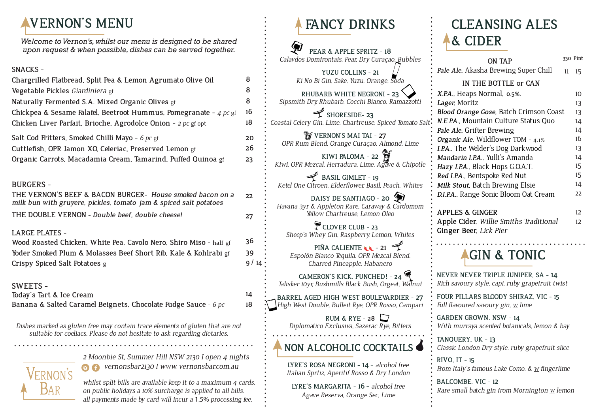### **VERNON'S MENU**

*Welcome to Vernon's, whilst our menu is designed to be shared upon request & when possible, dishes can be served together.*

#### **SNACKS -**

| Chargrilled Flatbread, Split Pea & Lemon Agrumato Olive Oil       |
|-------------------------------------------------------------------|
| Vegetable Pickles Giardiniera gf                                  |
| Naturally Fermented S.A. Mixed Organic Olives gf                  |
| Chickpea & Sesame Falafel, Beetroot Hummus, Pomegranate - 4 pc gf |
| Chicken Liver Parfait, Brioche, Agrodolce Onion - 2 pc gf opt     |
| Salt Cod Fritters, Smoked Chilli Mayo - 6 pc gf                   |
| Cuttlefish, OPR Jamon XO, Celeriac, Preserved Lemon gf            |
| Organic Carrots, Macadamia Cream, Tamarind, Puffed Quinoa gf      |
|                                                                   |
| BURGERS -                                                         |

**22 27 THE VERNON'S BEEF & BACON BURGER-** *House smoked bacon on a milk bun with gruyere, pickles, tomato jam & spiced salt potatoes* **THE DOUBLE VERNON -** *Double beef, double cheese!*

#### **LARGE PLATES -**

**Wood Roasted Chicken, White Pea, Cavolo Nero, Shiro Miso - half** gf **Yoder Smoked Plum & Molasses Beef Short Rib, Kale & Kohlrabi** gf **Crispy Spiced Salt Potatoes** g

#### **SWEETS -**

**Today's Tart & Ice Cream Banana & Salted Caramel Beignets, Chocolate Fudge Sauce -** *6 pc*

*Dishes marked as gluten free may contain trace elements of gluten that are not suitable for coeliacs. Please do not hesitate to ask regarding dietaries.* 

> *2 Moonbie St, Summer Hill NSW 2130 I open 4 nights vernonsbar2130 I www. vernonsbar.com.au*

*whilst split bills are available keep it to a maximum 4 cards. on public holidays a 10% surcharge is applied to all bills. all payments made by card will incur a* 1.5% *processing fee.* 

### **FANCY DRINKS**

**PEAR & APPLE SPRITZ - 18** *Calavdos Domfrontais, Pear, Dry Curaçao, Bubbles*

**YUZU COLLINS - 21** *Ki No Bi Gin, Sake, Yuzu, Orange, Soda*

**20 26 23**

**14 18**

**RHUBARB WHITE NEGRONI - 23** *Sipsmith Dry, Rhubarb, Cocchi Bianco, Ramazzotti* 

SHORESIDE-23 *Coastal Celery Gin, Lime, Chartreuse, Spiced Tomato Salt*

*F* VERNON'S MAI TAI - 27 *OPR Rum Blend, Orange Curaçao, Almond, Lime*

**KIWI PALOMA - 22** *Kiwi, OPR Mezcal, Herradura, Lime, Agave & Chipotle*

BASIL GIMLET - 19 *Ketel One Citroen, Elderflower, Basil, Peach, Whites*

**DAISY DE SANTIAGO - 20** *Havana 3yr & Appleton Rare, Caraway & Cardomom Yellow Chartreuse, Lemon Oleo*

CLOVER CLUB - 23 *Sheep's Whey Gin, Raspberry, Lemon, Whites*

**PIÑA CALIENTE**  $\cdot$  - 21 *Espolõn Blanco Tequila, OPR Mezcal Blend, Charred Pineapple, Habanero*

**CAMERON'S KICK, PUNCHED! - 24** *Talisker 10yr, Bushmills Black Bush, Orgeat, Walnut*

**BARREL AGED HIGH WEST BOULEVARDIER - 27** *High West Double, Bulleit Rye, OPR Rosso, Campari*

> **RUM & RYE - 28** *Diplomatico Exclusiva, Sazerac Rye, Bitters*

#### **NON ALCOHOLIC COCKTAILS**

**LYRE'S ROSA NEGRONI - 14 -** *alcohol free Italian Sprtiz, Aperitif Rosso & Dry London*

**LYRE'S MARGARITA - 16 -** *alcohol free Agave Reserva, Orange Sec, Lime* 

### **CLEANSING ALES & CIDER**

| ON TAP                                        |    | 330 Pint        |
|-----------------------------------------------|----|-----------------|
| Pale Ale, Akasha Brewing Super Chill          | 11 | $15 \,$         |
| IN THE BOTTLE or CAN                          |    |                 |
| X.P.A., Heaps Normal, 0.5%.                   |    | 10 <sup>1</sup> |
| Lager, Moritz                                 |    | 13              |
| <b>Blood Orange Gose, Batch Crimson Coast</b> |    | 13              |
| N.E.P.A., Mountain Culture Status Quo         |    | 14              |
| Pale Ale, Grifter Brewing                     |    | 14              |
| Organic Ale, Wildflower TOM - 4.1%            |    | 16              |
| I.P.A., The Welder's Dog Darkwood             |    | 13              |
| Mandarin I.P.A., Yulli's Amanda               |    | 14              |
| Hazy I.P.A., Black Hops G.O.A.T.              |    | 15              |
| Red I.P.A., Bentspoke Red Nut                 |    | 15              |
| Milk Stout, Batch Brewing Elsie               |    | 14              |
| D.I.P.A., Range Sonic Bloom Oat Cream         |    | 22              |
| <b>APPLES &amp; GINGER</b>                    |    | 12              |
|                                               |    |                 |
| Apple Cider, Willie Smiths Traditional        |    | 12              |
| Ginger Beer, Lick Pier                        |    |                 |



**NEVER NEVER TRIPLE JUNIPER, SA - 14** *Rich savoury style, capi, ruby grapefruit twist*

**FOUR PILLARS BLOODY SHIRAZ, VIC - 15** *Full flavoured savoury gin, w lime* 

**GARDEN GROWN, NSW - 14** *With murraya scented botanicals, lemon & bay* 

**TANQUERY***,* **UK - 13** *Classic London Dry style, ruby grapefruit slice*

**RIVO, IT - 15** *From Italy's famous Lake Como. & w fingerlime*

**BALCOMBE, VIC - 12** *Rare small batch gin from Mornington w lemon*